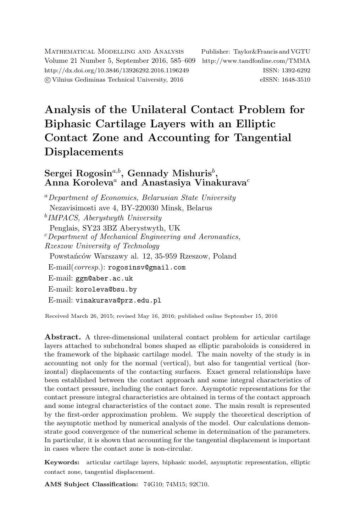Mathematical Modelling and Analysis Publisher: Taylor&Francis and VGTU Volume 21 Number 5, September 2016, 585–609 <http://www.tandfonline.com/TMMA> <http://dx.doi.org/10.3846/13926292.2016.1196249> ISSN: 1392-6292 c Vilnius Gediminas Technical University, 2016 eISSN: 1648-3510

# Analysis of the Unilateral Contact Problem for Biphasic Cartilage Layers with an Elliptic Contact Zone and Accounting for Tangential Displacements

# $\mathrm{Sergei}\ \mathrm{Rogosin}^{a,b}, \ \mathrm{Gennady}\ \mathrm{Mishuris}^b,$ Anna Koroleva<sup>a</sup> and Anastasiya Vinakurava<sup>c</sup>

<sup>a</sup>Department of Economics, Belarusian State University Nezavisimosti ave 4, BY-220030 Minsk, Belarus b IMPACS, Aberystwyth University Penglais, SY23 3BZ Aberystwyth, UK  $c$ Department of Mechanical Engineering and Aeronautics, Rzeszow University of Technology Powstańców Warszawy al. 12, 35-959 Rzeszow, Poland E-mail(corresp.): [rogosinsv@gmail.com](mailto:rogosinsv@gmail.com) E-mail: [ggm@aber.ac.uk](mailto:ggm@aber.ac.uk) E-mail: [koroleva@bsu.by](mailto:koroleva@bsu.by) E-mail: [vinakurava@prz.edu.pl](mailto:vinakurava@prz.edu.pl)

Received March 26, 2015; revised May 16, 2016; published online September 15, 2016

Abstract. A three-dimensional unilateral contact problem for articular cartilage layers attached to subchondral bones shaped as elliptic paraboloids is considered in the framework of the biphasic cartilage model. The main novelty of the study is in accounting not only for the normal (vertical), but also for tangential vertical (horizontal) displacements of the contacting surfaces. Exact general relationships have been established between the contact approach and some integral characteristics of the contact pressure, including the contact force. Asymptotic representations for the contact pressure integral characteristics are obtained in terms of the contact approach and some integral characteristics of the contact zone. The main result is represented by the first-order approximation problem. We supply the theoretical description of the asymptotic method by numerical analysis of the model. Our calculations demonstrate good convergence of the numerical scheme in determination of the parameters. In particular, it is shown that accounting for the tangential displacement is important in cases where the contact zone is non-circular.

Keywords: articular cartilage layers, biphasic model, asymptotic representation, elliptic contact zone, tangential displacement.

AMS Subject Classification: 74G10; 74M15; 92C10.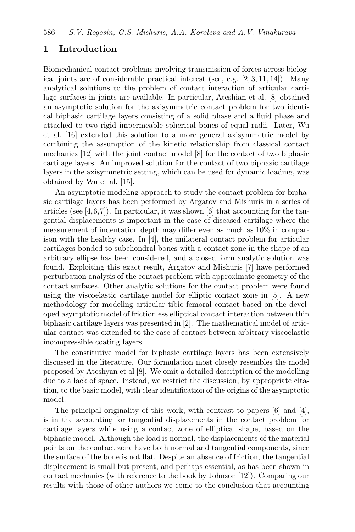# 1 Introduction

Biomechanical contact problems involving transmission of forces across biological joints are of considerable practical interest (see, e.g.  $[2, 3, 11, 14]$  $[2, 3, 11, 14]$  $[2, 3, 11, 14]$  $[2, 3, 11, 14]$  $[2, 3, 11, 14]$  $[2, 3, 11, 14]$  $[2, 3, 11, 14]$ ). Many analytical solutions to the problem of contact interaction of articular cartilage surfaces in joints are available. In particular, Ateshian et al. [\[8\]](#page-22-2) obtained an asymptotic solution for the axisymmetric contact problem for two identical biphasic cartilage layers consisting of a solid phase and a fluid phase and attached to two rigid impermeable spherical bones of equal radii. Later, Wu et al. [\[16\]](#page-22-3) extended this solution to a more general axisymmetric model by combining the assumption of the kinetic relationship from classical contact mechanics [\[12\]](#page-22-4) with the joint contact model [\[8\]](#page-22-2) for the contact of two biphasic cartilage layers. An improved solution for the contact of two biphasic cartilage layers in the axisymmetric setting, which can be used for dynamic loading, was obtained by Wu et al. [\[15\]](#page-22-5).

An asymptotic modeling approach to study the contact problem for biphasic cartilage layers has been performed by Argatov and Mishuris in a series of articles (see  $[4,6,7]$  $[4,6,7]$  $[4,6,7]$ ). In particular, it was shown  $[6]$  that accounting for the tangential displacements is important in the case of diseased cartilage where the measurement of indentation depth may differ even as much as 10% in comparison with the healthy case. In [\[4\]](#page-21-2), the unilateral contact problem for articular cartilages bonded to subchondral bones with a contact zone in the shape of an arbitrary ellipse has been considered, and a closed form analytic solution was found. Exploiting this exact result, Argatov and Mishuris [\[7\]](#page-22-7) have performed perturbation analysis of the contact problem with approximate geometry of the contact surfaces. Other analytic solutions for the contact problem were found using the viscoelastic cartilage model for elliptic contact zone in [\[5\]](#page-21-3). A new methodology for modeling articular tibio-femoral contact based on the developed asymptotic model of frictionless elliptical contact interaction between thin biphasic cartilage layers was presented in [\[2\]](#page-21-0). The mathematical model of articular contact was extended to the case of contact between arbitrary viscoelastic incompressible coating layers.

The constitutive model for biphasic cartilage layers has been extensively discussed in the literature. Our formulation most closely resembles the model proposed by Ateshyan et al [\[8\]](#page-22-2). We omit a detailed description of the modelling due to a lack of space. Instead, we restrict the discussion, by appropriate citation, to the basic model, with clear identification of the origins of the asymptotic model.

The principal originality of this work, with contrast to papers [\[6\]](#page-22-6) and [\[4\]](#page-21-2), is in the accounting for tangential displacements in the contact problem for cartilage layers while using a contact zone of elliptical shape, based on the biphasic model. Although the load is normal, the displacements of the material points on the contact zone have both normal and tangential components, since the surface of the bone is not flat. Despite an absence of friction, the tangential displacement is small but present, and perhaps essential, as has been shown in contact mechanics (with reference to the book by Johnson [\[12\]](#page-22-4)). Comparing our results with those of other authors we come to the conclusion that accounting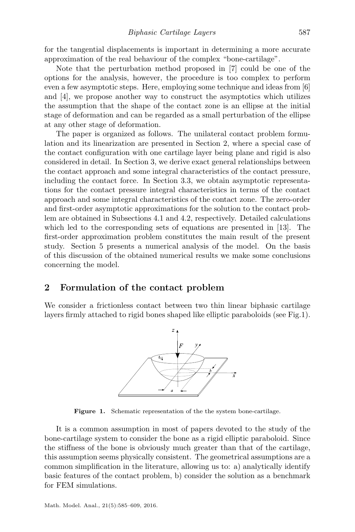for the tangential displacements is important in determining a more accurate approximation of the real behaviour of the complex "bone-cartilage".

Note that the perturbation method proposed in [\[7\]](#page-22-7) could be one of the options for the analysis, however, the procedure is too complex to perform even a few asymptotic steps. Here, employing some technique and ideas from [\[6\]](#page-22-6) and [\[4\]](#page-21-2), we propose another way to construct the asymptotics which utilizes the assumption that the shape of the contact zone is an ellipse at the initial stage of deformation and can be regarded as a small perturbation of the ellipse at any other stage of deformation.

The paper is organized as follows. The unilateral contact problem formulation and its linearization are presented in Section [2,](#page-2-0) where a special case of the contact configuration with one cartilage layer being plane and rigid is also considered in detail. In Section [3,](#page-6-0) we derive exact general relationships between the contact approach and some integral characteristics of the contact pressure, including the contact force. In Section [3.3,](#page-9-0) we obtain asymptotic representations for the contact pressure integral characteristics in terms of the contact approach and some integral characteristics of the contact zone. The zero-order and first-order asymptotic approximations for the solution to the contact problem are obtained in Subsections [4.1](#page-11-0) and [4.2,](#page-14-0) respectively. Detailed calculations which led to the corresponding sets of equations are presented in [\[13\]](#page-22-8). The first-order approximation problem constitutes the main result of the present study. Section [5](#page-17-0) presents a numerical analysis of the model. On the basis of this discussion of the obtained numerical results we make some conclusions concerning the model.

# <span id="page-2-0"></span>2 Formulation of the contact problem

<span id="page-2-1"></span>We consider a frictionless contact between two thin linear biphasic cartilage layers firmly attached to rigid bones shaped like elliptic paraboloids (see Fig[.1\)](#page-2-1).



Figure 1. Schematic representation of the the system bone-cartilage.

It is a common assumption in most of papers devoted to the study of the bone-cartilage system to consider the bone as a rigid elliptic paraboloid. Since the stiffness of the bone is obviously much greater than that of the cartilage, this assumption seems physically consistent. The geometrical assumptions are a common simplification in the literature, allowing us to: a) analytically identify basic features of the contact problem, b) consider the solution as a benchmark for FEM simulations.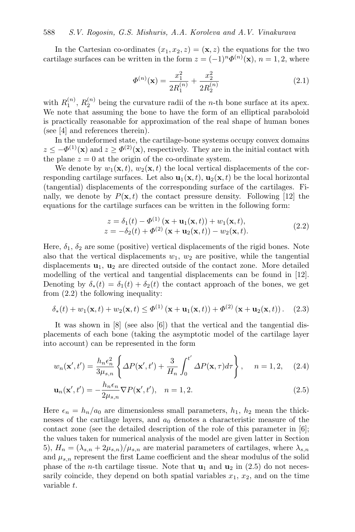<span id="page-3-3"></span>In the Cartesian co-ordinates  $(x_1, x_2, z) = (\mathbf{x}, z)$  the equations for the two cartilage surfaces can be written in the form  $z = (-1)^n \Phi^{(n)}(\mathbf{x}), n = 1, 2$ , where

$$
\Phi^{(n)}(\mathbf{x}) = \frac{x_1^2}{2R_1^{(n)}} + \frac{x_2^2}{2R_2^{(n)}}\tag{2.1}
$$

with  $R_1^{(n)}$ ,  $R_2^{(n)}$  being the curvature radii of the *n*-th bone surface at its apex. We note that assuming the bone to have the form of an elliptical paraboloid is practically reasonable for approximation of the real shape of human bones (see [\[4\]](#page-21-2) and references therein).

In the undeformed state, the cartilage-bone systems occupy convex domains  $z \leq -\Phi^{(1)}(\mathbf{x})$  and  $z \geq \Phi^{(2)}(\mathbf{x})$ , respectively. They are in the initial contact with the plane  $z = 0$  at the origin of the co-ordinate system.

We denote by  $w_1(\mathbf{x}, t)$ ,  $w_2(\mathbf{x}, t)$  the local vertical displacements of the corresponding cartilage surfaces. Let also  $\mathbf{u}_1(\mathbf{x}, t)$ ,  $\mathbf{u}_2(\mathbf{x}, t)$  be the local horizontal (tangential) displacements of the corresponding surface of the cartilages. Finally, we denote by  $P(\mathbf{x}, t)$  the contact pressure density. Following [\[12\]](#page-22-4) the equations for the cartilage surfaces can be written in the following form:

<span id="page-3-4"></span><span id="page-3-2"></span><span id="page-3-0"></span>
$$
z = \delta_1(t) - \Phi^{(1)}(\mathbf{x} + \mathbf{u}_1(\mathbf{x}, t)) + w_1(\mathbf{x}, t),
$$
  
\n
$$
z = -\delta_2(t) + \Phi^{(2)}(\mathbf{x} + \mathbf{u}_2(\mathbf{x}, t)) - w_2(\mathbf{x}, t).
$$
\n(2.2)

Here,  $\delta_1$ ,  $\delta_2$  are some (positive) vertical displacements of the rigid bones. Note also that the vertical displacements  $w_1, w_2$  are positive, while the tangential displacements  $\mathbf{u}_1$ ,  $\mathbf{u}_2$  are directed outside of the contact zone. More detailed modelling of the vertical and tangential displacements can be found in [\[12\]](#page-22-4). Denoting by  $\delta_*(t) = \delta_1(t) + \delta_2(t)$  the contact approach of the bones, we get from [\(2.2\)](#page-3-0) the following inequality:

$$
\delta_{*}(t) + w_{1}(\mathbf{x},t) + w_{2}(\mathbf{x},t) \leq \Phi^{(1)}\left(\mathbf{x} + \mathbf{u}_{1}(\mathbf{x},t)\right) + \Phi^{(2)}\left(\mathbf{x} + \mathbf{u}_{2}(\mathbf{x},t)\right). \tag{2.3}
$$

It was shown in  $[8]$  (see also  $[6]$ ) that the vertical and the tangential displacements of each bone (taking the asymptotic model of the cartilage layer into account) can be represented in the form

$$
w_n(\mathbf{x}',t') = \frac{h_n \epsilon_n^2}{3\mu_{s,n}} \left\{ \Delta P(\mathbf{x}',t') + \frac{3}{H_n} \int_0^{t'} \Delta P(\mathbf{x},\tau) d\tau \right\}, \quad n = 1,2, \quad (2.4)
$$

<span id="page-3-1"></span>
$$
\mathbf{u}_n(\mathbf{x}',t') = -\frac{h_n \epsilon_n}{2\mu_{s,n}} \nabla P(\mathbf{x}',t'), \quad n = 1,2. \tag{2.5}
$$

Here  $\epsilon_n = h_n/a_0$  are dimensionless small parameters,  $h_1$ ,  $h_2$  mean the thicknesses of the cartilage layers, and  $a_0$  denotes a characteristic measure of the contact zone (see the detailed description of the role of this parameter in [\[6\]](#page-22-6); the values taken for numerical analysis of the model are given latter in Section [5\)](#page-17-0),  $H_n = (\lambda_{s,n} + 2\mu_{s,n})/\mu_{s,n}$  are material parameters of cartilages, where  $\lambda_{s,n}$ and  $\mu_{s,n}$  represent the first Lame coefficient and the shear modulus of the solid phase of the *n*-th cartilage tissue. Note that  $\mathbf{u}_1$  and  $\mathbf{u}_2$  in [\(2.5\)](#page-3-1) do not necessarily coincide, they depend on both spatial variables  $x_1, x_2$ , and on the time variable t.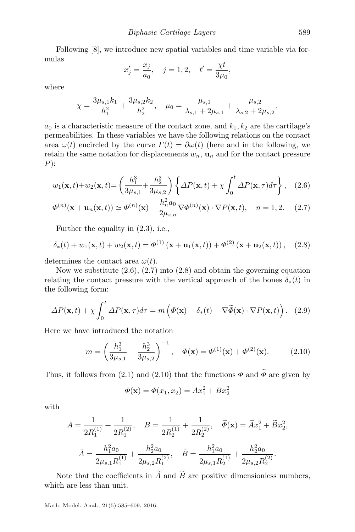Following [\[8\]](#page-22-2), we introduce new spatial variables and time variable via formulas

<span id="page-4-1"></span><span id="page-4-0"></span>
$$
x'_j = \frac{x_j}{a_0}
$$
,  $j = 1, 2$ ,  $t' = \frac{\chi t}{3\mu_0}$ ,

where

$$
\chi = \frac{3\mu_{s,1}k_1}{h_1^2} + \frac{3\mu_{s,2}k_2}{h_2^2}, \quad \mu_0 = \frac{\mu_{s,1}}{\lambda_{s,1} + 2\mu_{s,1}} + \frac{\mu_{s,2}}{\lambda_{s,2} + 2\mu_{s,2}},
$$

 $a_0$  is a characteristic measure of the contact zone, and  $k_1, k_2$  are the cartilage's permeabilities. In these variables we have the following relations on the contact area  $\omega(t)$  encircled by the curve  $\Gamma(t) = \partial \omega(t)$  (here and in the following, we retain the same notation for displacements  $w_n$ ,  $u_n$  and for the contact pressure  $P)$ :

$$
w_1(\mathbf{x},t) + w_2(\mathbf{x},t) = \left(\frac{h_1^3}{3\mu_{s,1}} + \frac{h_2^3}{3\mu_{s,2}}\right) \left\{\Delta P(\mathbf{x},t) + \chi \int_0^t \Delta P(\mathbf{x},\tau) d\tau\right\}, \quad (2.6)
$$

$$
\Phi^{(n)}(\mathbf{x} + \mathbf{u}_n(\mathbf{x}, t)) \simeq \Phi^{(n)}(\mathbf{x}) - \frac{h_n^2 a_0}{2\mu_{s,n}} \nabla \Phi^{(n)}(\mathbf{x}) \cdot \nabla P(\mathbf{x}, t), \quad n = 1, 2. \quad (2.7)
$$

<span id="page-4-2"></span>Further the equality in [\(2.3\)](#page-3-2), i.e.,

$$
\delta_{*}(t) + w_{1}(\mathbf{x}, t) + w_{2}(\mathbf{x}, t) = \Phi^{(1)}(\mathbf{x} + \mathbf{u}_{1}(\mathbf{x}, t)) + \Phi^{(2)}(\mathbf{x} + \mathbf{u}_{2}(\mathbf{x}, t)), \quad (2.8)
$$

determines the contact area  $\omega(t)$ .

Now we substitute [\(2.6\)](#page-4-0), [\(2.7\)](#page-4-1) into [\(2.8\)](#page-4-2) and obtain the governing equation relating the contact pressure with the vertical approach of the bones  $\delta_*(t)$  in the following form:

<span id="page-4-4"></span>
$$
\Delta P(\mathbf{x},t) + \chi \int_0^t \Delta P(\mathbf{x},\tau) d\tau = m \left( \Phi(\mathbf{x}) - \delta_*(t) - \nabla \widetilde{\Phi}(\mathbf{x}) \cdot \nabla P(\mathbf{x},t) \right). \tag{2.9}
$$

Here we have introduced the notation

$$
m = \left(\frac{h_1^3}{3\mu_{s,1}} + \frac{h_2^3}{3\mu_{s,2}}\right)^{-1}, \quad \Phi(\mathbf{x}) = \Phi^{(1)}(\mathbf{x}) + \Phi^{(2)}(\mathbf{x}).\tag{2.10}
$$

Thus, it follows from [\(2.1\)](#page-3-3) and [\(2.10\)](#page-4-3) that the functions  $\Phi$  and  $\widetilde{\Phi}$  are given by

<span id="page-4-3"></span>
$$
\Phi(\mathbf{x}) = \Phi(x_1, x_2) = Ax_1^2 + Bx_2^2
$$

with

$$
A = \frac{1}{2R_1^{(1)}} + \frac{1}{2R_1^{(2)}}, \quad B = \frac{1}{2R_2^{(1)}} + \frac{1}{2R_2^{(2)}}, \quad \tilde{\Phi}(\mathbf{x}) = \tilde{A}x_1^2 + \tilde{B}x_2^2,
$$

$$
\tilde{A} = \frac{h_1^2 a_0}{2\mu_{s,1} R_1^{(1)}} + \frac{h_2^2 a_0}{2\mu_{s,2} R_1^{(2)}}, \quad \tilde{B} = \frac{h_1^2 a_0}{2\mu_{s,1} R_2^{(1)}} + \frac{h_2^2 a_0}{2\mu_{s,2} R_2^{(2)}}.
$$

Note that the coefficients in  $\widetilde{A}$  and  $\widetilde{B}$  are positive dimensionless numbers, which are less than unit.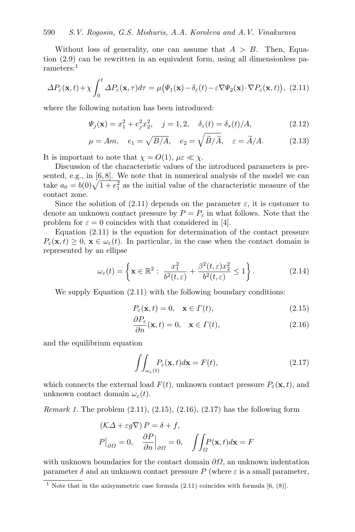Without loss of generality, one can assume that  $A > B$ . Then, Equation [\(2.9\)](#page-4-4) can be rewritten in an equivalent form, using all dimensionless pa-rameters:<sup>[1](#page-5-0)</sup>

<span id="page-5-1"></span>
$$
\Delta P_{\varepsilon}(\mathbf{x},t) + \chi \int_0^t \Delta P_{\varepsilon}(\mathbf{x},\tau) d\tau = \mu \big( \Psi_1(\mathbf{x}) - \delta_{\varepsilon}(t) - \varepsilon \nabla \Psi_2(\mathbf{x}) \cdot \nabla P_{\varepsilon}(\mathbf{x},t) \big), (2.11)
$$

where the following notation has been introduced:

<span id="page-5-5"></span>
$$
\Psi_j(\mathbf{x}) = x_1^2 + e_j^2 x_2^2, \quad j = 1, 2, \quad \delta_\varepsilon(t) = \delta_*(t) / A,\tag{2.12}
$$

$$
\mu = Am
$$
,  $e_1 = \sqrt{B/A}$ ,  $e_2 = \sqrt{\widetilde{B}/\widetilde{A}}$ ,  $\varepsilon = \widetilde{A}/A$ . (2.13)

It is important to note that  $\chi = O(1)$ ,  $\mu \in \mathcal{K} \chi$ .

Discussion of the characteristic values of the introduced parameters is presented, e.g., in  $[6, 8]$  $[6, 8]$  $[6, 8]$ . We note that in numerical analysis of the model we can take  $a_0 = b(0)\sqrt{1 + e_1^2}$  as the initial value of the characteristic measure of the contact zone.

Since the solution of [\(2.11\)](#page-5-1) depends on the parameter  $\varepsilon$ , it is customer to denote an unknown contact pressure by  $P = P_{\varepsilon}$  in what follows. Note that the problem for  $\varepsilon = 0$  coincides with that considered in [\[4\]](#page-21-2).

Equation [\(2.11\)](#page-5-1) is the equation for determination of the contact pressure  $P_{\varepsilon}(\mathbf{x},t) \geq 0, \mathbf{x} \in \omega_{\varepsilon}(t)$ . In particular, in the case when the contact domain is represented by an ellipse

<span id="page-5-6"></span>
$$
\omega_{\varepsilon}(t) = \left\{ \mathbf{x} \in \mathbb{R}^2 : \ \frac{x_1^2}{b^2(t,\varepsilon)} + \frac{\beta^2(t,\varepsilon)x_2^2}{b^2(t,\varepsilon)} \le 1 \right\}.
$$
 (2.14)

We supply Equation  $(2.11)$  with the following boundary conditions:

<span id="page-5-2"></span>
$$
P_{\varepsilon}(\mathbf{x},t) = 0, \quad \mathbf{x} \in \Gamma(t), \tag{2.15}
$$

<span id="page-5-3"></span>
$$
\frac{\partial P_{\varepsilon}}{\partial n}(\mathbf{x},t) = 0, \quad \mathbf{x} \in \Gamma(t), \tag{2.16}
$$

and the equilibrium equation

<span id="page-5-4"></span>
$$
\iint_{\omega_{\varepsilon}(t)} P_{\varepsilon}(\mathbf{x}, t) d\mathbf{x} = F(t),
$$
\n(2.17)

which connects the external load  $F(t)$ , unknown contact pressure  $P_{\varepsilon}(\mathbf{x}, t)$ , and unknown contact domain  $\omega_{\varepsilon}(t)$ .

*Remark 1.* The problem  $(2.11)$ ,  $(2.15)$ ,  $(2.16)$ ,  $(2.17)$  has the following form

$$
(\mathcal{K}\Delta + \varepsilon g \nabla) P = \delta + f,
$$
  
 
$$
P|_{\partial\Omega} = 0, \quad \frac{\partial P}{\partial n}|_{\partial\Omega} = 0, \quad \iint_{\Omega} P(\mathbf{x}, t) d\mathbf{x} = F
$$

with unknown boundaries for the contact domain  $\partial\Omega$ , an unknown indentation parameter  $\delta$  and an unknown contact pressure P (where  $\varepsilon$  is a small parameter,

<span id="page-5-0"></span> $\overline{1}$  Note that in the axisymmetric case formula [\(2.11\)](#page-5-1) coincides with formula [\[6,](#page-22-6) (8)].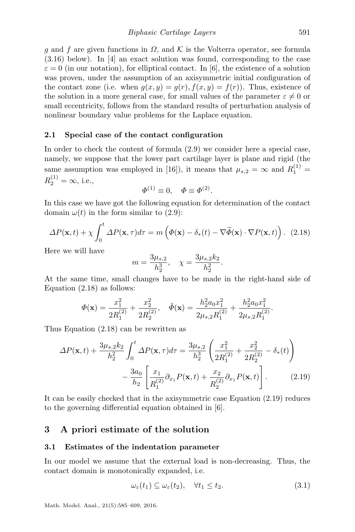g and f are given functions in  $\Omega$ , and K is the Volterra operator, see formula [\(3.16\)](#page-9-1) below). In [\[4\]](#page-21-2) an exact solution was found, corresponding to the case  $\varepsilon = 0$  (in our notation), for elliptical contact. In [\[6\]](#page-22-6), the existence of a solution was proven, under the assumption of an axisymmetric initial configuration of the contact zone (i.e. when  $g(x, y) = g(r)$ ,  $f(x, y) = f(r)$ ). Thus, existence of the solution in a more general case, for small values of the parameter  $\varepsilon \neq 0$  or small eccentricity, follows from the standard results of perturbation analysis of nonlinear boundary value problems for the Laplace equation.

### 2.1 Special case of the contact configuration

In order to check the content of formula [\(2.9\)](#page-4-4) we consider here a special case, namely, we suppose that the lower part cartilage layer is plane and rigid (the same assumption was employed in [\[16\]](#page-22-3)), it means that  $\mu_{s,2} = \infty$  and  $R_1^{(1)} =$  $R_2^{(1)} = \infty$ , i.e.,

<span id="page-6-1"></span>
$$
\Phi^{(1)} \equiv 0, \quad \Phi \equiv \Phi^{(2)}.
$$

In this case we have got the following equation for determination of the contact domain  $\omega(t)$  in the form similar to [\(2.9\)](#page-4-4):

$$
\Delta P(\mathbf{x},t) + \chi \int_0^t \Delta P(\mathbf{x},\tau) d\tau = m \left( \Phi(\mathbf{x}) - \delta_*(t) - \nabla \widetilde{\Phi}(\mathbf{x}) \cdot \nabla P(\mathbf{x},t) \right). \tag{2.18}
$$

Here we will have

<span id="page-6-2"></span>
$$
m = \frac{3\mu_{s,2}}{h_2^3}, \quad \chi = \frac{3\mu_{s,2}k_2}{h_2^2}.
$$

At the same time, small changes have to be made in the right-hand side of Equation [\(2.18\)](#page-6-1) as follows:

$$
\varPhi(\mathbf{x}) = \frac{x_1^2}{2R_1^{(2)}} + \frac{x_2^2}{2R_2^{(2)}}, \quad \tilde{\varPhi}(\mathbf{x}) = \frac{h_2^2 a_0 x_1^2}{2\mu_{s,2} R_1^{(2)}} + \frac{h_2^2 a_0 x_1^2}{2\mu_{s,2} R_1^{(2)}}.
$$

Thus Equation [\(2.18\)](#page-6-1) can be rewritten as

$$
\Delta P(\mathbf{x},t) + \frac{3\mu_{s,2}k_2}{h_2^2} \int_0^t \Delta P(\mathbf{x},\tau) d\tau = \frac{3\mu_{s,2}}{h_2^3} \left( \frac{x_1^2}{2R_1^{(2)}} + \frac{x_2^2}{2R_2^{(2)}} - \delta_*(t) \right) - \frac{3a_0}{h_2} \left[ \frac{x_1}{R_1^{(2)}} \partial_{x_1} P(\mathbf{x},t) + \frac{x_2}{R_2^{(2)}} \partial_{x_1} P(\mathbf{x},t) \right].
$$
 (2.19)

It can be easily checked that in the axisymmetric case Equation [\(2.19\)](#page-6-2) reduces to the governing differential equation obtained in [\[6\]](#page-22-6).

# <span id="page-6-0"></span>3 A priori estimate of the solution

#### 3.1 Estimates of the indentation parameter

In our model we assume that the external load is non-decreasing. Thus, the contact domain is monotonically expanded, i.e.

<span id="page-6-3"></span>
$$
\omega_{\varepsilon}(t_1) \subseteq \omega_{\varepsilon}(t_2), \quad \forall t_1 \le t_2. \tag{3.1}
$$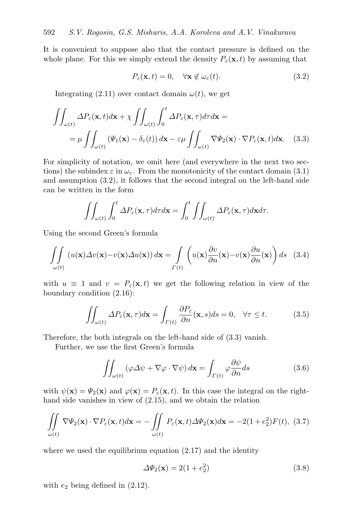It is convenient to suppose also that the contact pressure is defined on the whole plane. For this we simply extend the density  $P_{\varepsilon}(\mathbf{x}, t)$  by assuming that

<span id="page-7-1"></span><span id="page-7-0"></span>
$$
P_{\varepsilon}(\mathbf{x},t) = 0, \quad \forall \mathbf{x} \notin \omega_{\varepsilon}(t). \tag{3.2}
$$

Integrating [\(2.11\)](#page-5-1) over contact domain  $\omega(t)$ , we get

$$
\iint_{\omega(t)} \Delta P_{\varepsilon}(\mathbf{x}, t) d\mathbf{x} + \chi \iint_{\omega(t)} \int_{0}^{t} \Delta P_{\varepsilon}(\mathbf{x}, \tau) d\tau d\mathbf{x} =
$$
\n
$$
= \mu \iint_{\omega(t)} (\Psi_1(\mathbf{x}) - \delta_{\varepsilon}(t)) d\mathbf{x} - \varepsilon \mu \iint_{\omega(t)} \nabla \Psi_2(\mathbf{x}) \cdot \nabla P_{\varepsilon}(\mathbf{x}, t) d\mathbf{x}.
$$
\n(3.3)

For simplicity of notation, we omit here (and everywhere in the next two sections) the subindex  $\varepsilon$  in  $\omega_{\varepsilon}$ . From the monotonicity of the contact domain [\(3.1\)](#page-6-3) and assumption [\(3.2\)](#page-7-0), it follows that the second integral on the left-hand side can be written in the form

<span id="page-7-4"></span>
$$
\iint_{\omega(t)} \int_0^t \Delta P_{\varepsilon}(\mathbf{x}, \tau) d\tau d\mathbf{x} = \int_0^t \iint_{\omega(t)} \Delta P_{\varepsilon}(\mathbf{x}, \tau) d\mathbf{x} d\tau.
$$

Using the second Green's formula

$$
\iint_{\omega(t)} (u(\mathbf{x}) \Delta v(\mathbf{x}) - v(\mathbf{x}) \Delta u(\mathbf{x})) d\mathbf{x} = \int_{\Gamma(t)} \left( u(\mathbf{x}) \frac{\partial v}{\partial n}(\mathbf{x}) - v(\mathbf{x}) \frac{\partial u}{\partial n}(\mathbf{x}) \right) ds \quad (3.4)
$$

with  $u \equiv 1$  and  $v = P_{\varepsilon}(\mathbf{x}, t)$  we get the following relation in view of the boundary condition [\(2.16\)](#page-5-3):

<span id="page-7-2"></span>
$$
\iint_{\omega(t)} \Delta P_{\varepsilon}(\mathbf{x}, \tau) d\mathbf{x} = \int_{\Gamma(t)} \frac{\partial P_{\varepsilon}}{\partial n}(\mathbf{x}, s) ds = 0, \quad \forall \tau \le t.
$$
 (3.5)

Therefore, the both integrals on the left-hand side of [\(3.3\)](#page-7-1) vanish.

Further, we use the first Green's formula

<span id="page-7-6"></span>
$$
\iint_{\omega(t)} (\varphi \Delta \psi + \nabla \varphi \cdot \nabla \psi) d\mathbf{x} = \int_{\Gamma(t)} \varphi \frac{\partial \psi}{\partial n} ds \tag{3.6}
$$

with  $\psi(\mathbf{x}) = \Psi_2(\mathbf{x})$  and  $\varphi(\mathbf{x}) = P_\varepsilon(\mathbf{x}, t)$ . In this case the integral on the righthand side vanishes in view of [\(2.15\)](#page-5-2), and we obtain the relation

$$
\iint_{\omega(t)} \nabla \Psi_2(\mathbf{x}) \cdot \nabla P_{\varepsilon}(\mathbf{x}, t) d\mathbf{x} = -\iint_{\omega(t)} P_{\varepsilon}(\mathbf{x}, t) \Delta \Psi_2(\mathbf{x}) d\mathbf{x} = -2(1 + e_2^2) F(t), \tag{3.7}
$$

where we used the equilibrium equation  $(2.17)$  and the identity

<span id="page-7-5"></span><span id="page-7-3"></span>
$$
\Delta\Psi_2(\mathbf{x}) = 2(1 + e_2^2) \tag{3.8}
$$

with  $e_2$  being defined in  $(2.12)$ .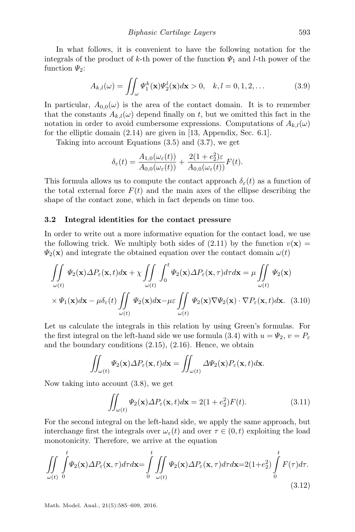In what follows, it is convenient to have the following notation for the integrals of the product of k-th power of the function  $\Psi_1$  and l-th power of the function  $\Psi_2$ :

<span id="page-8-0"></span>
$$
A_{k,l}(\omega) = \iint_{\omega} \Psi_1^k(\mathbf{x}) \Psi_2^l(\mathbf{x}) d\mathbf{x} > 0, \quad k, l = 0, 1, 2, \dots
$$
 (3.9)

In particular,  $A_{0,0}(\omega)$  is the area of the contact domain. It is to remember that the constants  $A_{k,l}(\omega)$  depend finally on t, but we omitted this fact in the notation in order to avoid cumbersome expressions. Computations of  $A_{k,l}(\omega)$ for the elliptic domain [\(2.14\)](#page-5-6) are given in [\[13,](#page-22-8) Appendix, Sec. 6.1].

Taking into account Equations [\(3.5\)](#page-7-2) and [\(3.7\)](#page-7-3), we get

$$
\delta_{\varepsilon}(t) = \frac{A_{1,0}(\omega_{\varepsilon}(t))}{A_{0,0}(\omega_{\varepsilon}(t))} + \frac{2(1 + e_2^2)\varepsilon}{A_{0,0}(\omega_{\varepsilon}(t))}F(t).
$$

This formula allows us to compute the contact approach  $\delta_{\varepsilon}(t)$  as a function of the total external force  $F(t)$  and the main axes of the ellipse describing the shape of the contact zone, which in fact depends on time too.

### 3.2 Integral identities for the contact pressure

In order to write out a more informative equation for the contact load, we use the following trick. We multiply both sides of  $(2.11)$  by the function  $v(\mathbf{x}) =$  $\Psi_2(\mathbf{x})$  and integrate the obtained equation over the contact domain  $\omega(t)$ 

$$
\iint_{\omega(t)} \Psi_2(\mathbf{x}) \Delta P_{\varepsilon}(\mathbf{x}, t) d\mathbf{x} + \chi \iint_{\omega(t)} \int_0^t \Psi_2(\mathbf{x}) \Delta P_{\varepsilon}(\mathbf{x}, \tau) d\tau d\mathbf{x} = \mu \iint_{\omega(t)} \Psi_2(\mathbf{x})
$$

$$
\times \Psi_1(\mathbf{x}) d\mathbf{x} - \mu \delta_{\varepsilon}(t) \iint_{\omega(t)} \Psi_2(\mathbf{x}) d\mathbf{x} - \mu \varepsilon \iint_{\omega(t)} \Psi_2(\mathbf{x}) \nabla \Psi_2(\mathbf{x}) \cdot \nabla P_{\varepsilon}(\mathbf{x}, t) d\mathbf{x}.
$$
 (3.10)

Let us calculate the integrals in this relation by using Green's formulas. For the first integral on the left-hand side we use formula [\(3.4\)](#page-7-4) with  $u = \Psi_2, v = P_{\varepsilon}$ and the boundary conditions [\(2.15\)](#page-5-2), [\(2.16\)](#page-5-3). Hence, we obtain

$$
\iint_{\omega(t)} \Psi_2(\mathbf{x}) \Delta P_{\varepsilon}(\mathbf{x},t) d\mathbf{x} = \iint_{\omega(t)} \Delta \Psi_2(\mathbf{x}) P_{\varepsilon}(\mathbf{x},t) d\mathbf{x}.
$$

Now taking into account [\(3.8\)](#page-7-5), we get

<span id="page-8-2"></span><span id="page-8-1"></span>
$$
\iint_{\omega(t)} \Psi_2(\mathbf{x}) \Delta P_{\varepsilon}(\mathbf{x}, t) d\mathbf{x} = 2(1 + e_2^2) F(t).
$$
\n(3.11)

For the second integral on the left-hand side, we apply the same approach, but interchange first the integrals over  $\omega_{\varepsilon}(t)$  and over  $\tau \in (0, t)$  exploiting the load monotonicity. Therefore, we arrive at the equation

$$
\iint\limits_{\omega(t)} \int\limits_{0}^{t} \Psi_2(\mathbf{x}) \Delta P_{\varepsilon}(\mathbf{x}, \tau) d\tau d\mathbf{x} = \int\limits_{0}^{t} \iint\limits_{\omega(t)} \Psi_2(\mathbf{x}) \Delta P_{\varepsilon}(\mathbf{x}, \tau) d\tau d\mathbf{x} = 2(1 + e_2^2) \int\limits_{0}^{t} F(\tau) d\tau.
$$
\n(3.12)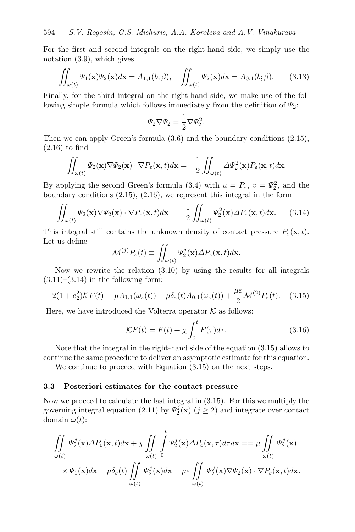For the first and second integrals on the right-hand side, we simply use the notation [\(3.9\)](#page-8-0), which gives

$$
\iint_{\omega(t)} \Psi_1(\mathbf{x}) \Psi_2(\mathbf{x}) d\mathbf{x} = A_{1,1}(b; \beta), \quad \iint_{\omega(t)} \Psi_2(\mathbf{x}) d\mathbf{x} = A_{0,1}(b; \beta). \tag{3.13}
$$

Finally, for the third integral on the right-hand side, we make use of the following simple formula which follows immediately from the definition of  $\Psi_2$ :

<span id="page-9-2"></span>
$$
\Psi_2 \nabla \Psi_2 = \frac{1}{2} \nabla \Psi_2^2.
$$

Then we can apply Green's formula [\(3.6\)](#page-7-6) and the boundary conditions [\(2.15\)](#page-5-2), [\(2.16\)](#page-5-3) to find

$$
\iint_{\omega(t)} \Psi_2(\mathbf{x}) \nabla \Psi_2(\mathbf{x}) \cdot \nabla P_{\varepsilon}(\mathbf{x},t) d\mathbf{x} = -\frac{1}{2} \iint_{\omega(t)} \Delta \Psi_2^2(\mathbf{x}) P_{\varepsilon}(\mathbf{x},t) d\mathbf{x}.
$$

By applying the second Green's formula [\(3.4\)](#page-7-4) with  $u = P_{\varepsilon}$ ,  $v = \Psi_2^2$ , and the boundary conditions [\(2.15\)](#page-5-2), [\(2.16\)](#page-5-3), we represent this integral in the form

$$
\iint_{\omega(t)} \Psi_2(\mathbf{x}) \nabla \Psi_2(\mathbf{x}) \cdot \nabla P_{\varepsilon}(\mathbf{x}, t) d\mathbf{x} = -\frac{1}{2} \iint_{\omega(t)} \Psi_2^2(\mathbf{x}) \Delta P_{\varepsilon}(\mathbf{x}, t) d\mathbf{x}.
$$
 (3.14)

This integral still contains the unknown density of contact pressure  $P_{\varepsilon}(\mathbf{x},t)$ . Let us define

<span id="page-9-3"></span>
$$
\mathcal{M}^{(j)}P_{\varepsilon}(t) \equiv \iint_{\omega(t)} \Psi_2^j(\mathbf{x}) \Delta P_{\varepsilon}(\mathbf{x},t) d\mathbf{x}.
$$

Now we rewrite the relation [\(3.10\)](#page-8-1) by using the results for all integrals  $(3.11)–(3.14)$  $(3.11)–(3.14)$  $(3.11)–(3.14)$  in the following form:

$$
2(1+e_2^2)\mathcal{K}F(t) = \mu A_{1,1}(\omega_\varepsilon(t)) - \mu \delta_\varepsilon(t)A_{0,1}(\omega_\varepsilon(t)) + \frac{\mu \varepsilon}{2}\mathcal{M}^{(2)}P_\varepsilon(t). \quad (3.15)
$$

Here, we have introduced the Volterra operator  $K$  as follows:

<span id="page-9-1"></span>
$$
\mathcal{K}F(t) = F(t) + \chi \int_0^t F(\tau) d\tau.
$$
 (3.16)

Note that the integral in the right-hand side of the equation [\(3.15\)](#page-9-3) allows to continue the same procedure to deliver an asymptotic estimate for this equation.

We continue to proceed with Equation  $(3.15)$  on the next steps.

### <span id="page-9-0"></span>3.3 Posteriori estimates for the contact pressure

Now we proceed to calculate the last integral in [\(3.15\)](#page-9-3). For this we multiply the governing integral equation [\(2.11\)](#page-5-1) by  $\Psi_2^j(\mathbf{x})$  ( $j \geq 2$ ) and integrate over contact domain  $\omega(t)$ :

$$
\iint_{\omega(t)} \Psi_2^j(\mathbf{x}) \Delta P_{\varepsilon}(\mathbf{x}, t) d\mathbf{x} + \chi \iint_{\omega(t)} \int_0^t \Psi_2^j(\mathbf{x}) \Delta P_{\varepsilon}(\mathbf{x}, \tau) d\tau d\mathbf{x} = \mu \iint_{\omega(t)} \Psi_2^j(\overline{\mathbf{x}}) \times \Psi_1(\mathbf{x}) d\mathbf{x} - \mu \delta_{\varepsilon}(t) \iint_{\omega(t)} \Psi_2^j(\mathbf{x}) d\mathbf{x} - \mu \varepsilon \iint_{\omega(t)} \Psi_2^j(\mathbf{x}) \nabla \Psi_2(\mathbf{x}) \cdot \nabla P_{\varepsilon}(\mathbf{x}, t) d\mathbf{x}.
$$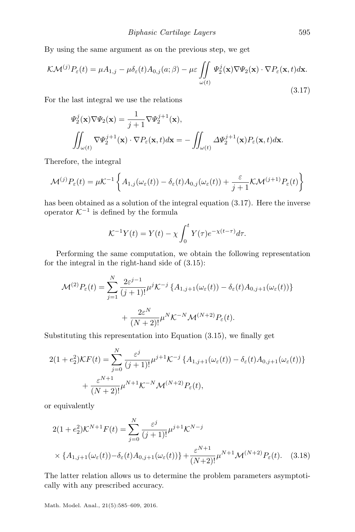By using the same argument as on the previous step, we get

$$
\mathcal{K}\mathcal{M}^{(j)}P_{\varepsilon}(t) = \mu A_{1,j} - \mu \delta_{\varepsilon}(t) A_{0,j}(a;\beta) - \mu \varepsilon \iint_{\omega(t)} \Psi_2^j(\mathbf{x}) \nabla \Psi_2(\mathbf{x}) \cdot \nabla P_{\varepsilon}(\mathbf{x},t) d\mathbf{x}.
$$
\n(3.17)

For the last integral we use the relations

<span id="page-10-0"></span>
$$
\Psi_2^j(\mathbf{x}) \nabla \Psi_2(\mathbf{x}) = \frac{1}{j+1} \nabla \Psi_2^{j+1}(\mathbf{x}),
$$
  

$$
\iint_{\omega(t)} \nabla \Psi_2^{j+1}(\mathbf{x}) \cdot \nabla P_{\varepsilon}(\mathbf{x}, t) d\mathbf{x} = -\iint_{\omega(t)} \Delta \Psi_2^{j+1}(\mathbf{x}) P_{\varepsilon}(\mathbf{x}, t) d\mathbf{x}.
$$

Therefore, the integral

$$
\mathcal{M}^{(j)}P_{\varepsilon}(t) = \mu \mathcal{K}^{-1}\left\{A_{1,j}(\omega_{\varepsilon}(t)) - \delta_{\varepsilon}(t)A_{0,j}(\omega_{\varepsilon}(t)) + \frac{\varepsilon}{j+1}\mathcal{K}\mathcal{M}^{(j+1)}P_{\varepsilon}(t)\right\}
$$

has been obtained as a solution of the integral equation [\(3.17\)](#page-10-0). Here the inverse operator  $K^{-1}$  is defined by the formula

$$
\mathcal{K}^{-1}Y(t) = Y(t) - \chi \int_0^t Y(\tau) e^{-\chi(t-\tau)} d\tau.
$$

Performing the same computation, we obtain the following representation for the integral in the right-hand side of [\(3.15\)](#page-9-3):

$$
\mathcal{M}^{(2)}P_{\varepsilon}(t) = \sum_{j=1}^{N} \frac{2\varepsilon^{j-1}}{(j+1)!} \mu^{j} \mathcal{K}^{-j} \left\{ A_{1,j+1}(\omega_{\varepsilon}(t)) - \delta_{\varepsilon}(t) A_{0,j+1}(\omega_{\varepsilon}(t)) \right\} + \frac{2\varepsilon^{N}}{(N+2)!} \mu^{N} \mathcal{K}^{-N} \mathcal{M}^{(N+2)} P_{\varepsilon}(t).
$$

Substituting this representation into Equation [\(3.15\)](#page-9-3), we finally get

$$
2(1+e_2^2)\mathcal{K}F(t) = \sum_{j=0}^N \frac{\varepsilon^j}{(j+1)!} \mu^{j+1} \mathcal{K}^{-j} \left\{ A_{1,j+1}(\omega_\varepsilon(t)) - \delta_\varepsilon(t) A_{0,j+1}(\omega_\varepsilon(t)) \right\} + \frac{\varepsilon^{N+1}}{(N+2)!} \mu^{N+1} \mathcal{K}^{-N} \mathcal{M}^{(N+2)} P_\varepsilon(t),
$$

or equivalently

<span id="page-10-1"></span>
$$
2(1 + e_2^2) \mathcal{K}^{N+1} F(t) = \sum_{j=0}^{N} \frac{\varepsilon^j}{(j+1)!} \mu^{j+1} \mathcal{K}^{N-j}
$$
  
 
$$
\times \{A_{1,j+1}(\omega_{\varepsilon}(t)) - \delta_{\varepsilon}(t) A_{0,j+1}(\omega_{\varepsilon}(t))\} + \frac{\varepsilon^{N+1}}{(N+2)!} \mu^{N+1} \mathcal{M}^{(N+2)} P_{\varepsilon}(t).
$$
 (3.18)

The latter relation allows us to determine the problem parameters asymptotically with any prescribed accuracy.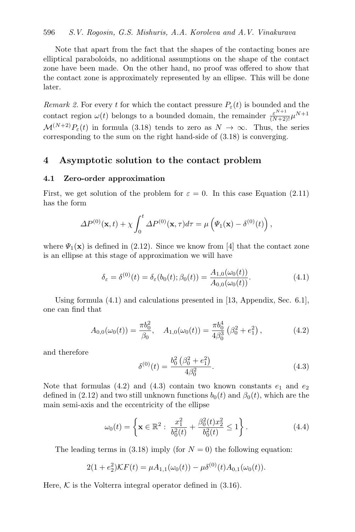### 596 S.V. Rogosin, G.S. Mishuris, A.A. Koroleva and A.V. Vinakurava

Note that apart from the fact that the shapes of the contacting bones are elliptical paraboloids, no additional assumptions on the shape of the contact zone have been made. On the other hand, no proof was offered to show that the contact zone is approximately represented by an ellipse. This will be done later.

Remark 2. For every t for which the contact pressure  $P_{\varepsilon}(t)$  is bounded and the contact region  $\omega(t)$  belongs to a bounded domain, the remainder  $\frac{\varepsilon^{N+1}}{(N+2)!} \mu^{N+1}$  $\mathcal{M}^{(N+2)}P_{\varepsilon}(t)$  in formula [\(3.18\)](#page-10-1) tends to zero as  $N \to \infty$ . Thus, the series corresponding to the sum on the right hand-side of [\(3.18\)](#page-10-1) is converging.

# 4 Asymptotic solution to the contact problem

### <span id="page-11-0"></span>4.1 Zero-order approximation

First, we get solution of the problem for  $\varepsilon = 0$ . In this case Equation [\(2.11\)](#page-5-1) has the form

$$
\Delta P^{(0)}(\mathbf{x},t) + \chi \int_0^t \Delta P^{(0)}(\mathbf{x},\tau) d\tau = \mu \left( \Psi_1(\mathbf{x}) - \delta^{(0)}(t) \right),
$$

where  $\Psi_1(\mathbf{x})$  is defined in [\(2.12\)](#page-5-5). Since we know from [\[4\]](#page-21-2) that the contact zone is an ellipse at this stage of approximation we will have

<span id="page-11-1"></span>
$$
\delta_{\varepsilon} = \delta^{(0)}(t) = \delta_{\varepsilon}(b_0(t); \beta_0(t)) = \frac{A_{1,0}(\omega_0(t))}{A_{0,0}(\omega_0(t))}.
$$
\n(4.1)

Using formula [\(4.1\)](#page-11-1) and calculations presented in [\[13,](#page-22-8) Appendix, Sec. 6.1], one can find that

<span id="page-11-3"></span><span id="page-11-2"></span>
$$
A_{0,0}(\omega_0(t)) = \frac{\pi b_0^2}{\beta_0}, \quad A_{1,0}(\omega_0(t)) = \frac{\pi b_0^4}{4\beta_0^3} \left(\beta_0^2 + e_1^2\right), \tag{4.2}
$$

and therefore

<span id="page-11-4"></span>
$$
\delta^{(0)}(t) = \frac{b_0^2 \left(\beta_0^2 + e_1^2\right)}{4\beta_0^2}.
$$
\n(4.3)

Note that formulas [\(4.2\)](#page-11-2) and [\(4.3\)](#page-11-3) contain two known constants  $e_1$  and  $e_2$ defined in [\(2.12\)](#page-5-5) and two still unknown functions  $b_0(t)$  and  $\beta_0(t)$ , which are the main semi-axis and the eccentricity of the ellipse

$$
\omega_0(t) = \left\{ \mathbf{x} \in \mathbb{R}^2 : \ \frac{x_1^2}{b_0^2(t)} + \frac{\beta_0^2(t)x_2^2}{b_0^2(t)} \le 1 \right\}.
$$
 (4.4)

The leading terms in [\(3.18\)](#page-10-1) imply (for  $N = 0$ ) the following equation:

$$
2(1 + e_2^2)\mathcal{K}F(t) = \mu A_{1,1}(\omega_0(t)) - \mu \delta^{(0)}(t)A_{0,1}(\omega_0(t)).
$$

Here,  $K$  is the Volterra integral operator defined in  $(3.16)$ .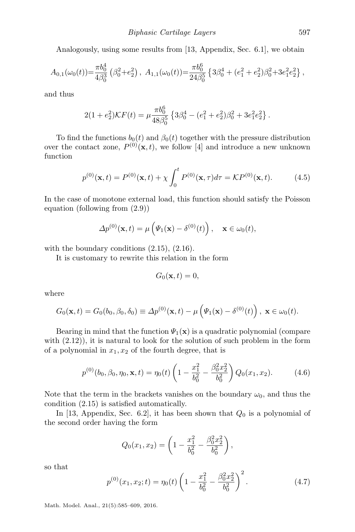Analogously, using some results from [\[13,](#page-22-8) Appendix, Sec. 6.1], we obtain

$$
A_{0,1}(\omega_0(t)) = \frac{\pi b_0^4}{4\beta_0^3} \left(\beta_0^2 + e_2^2\right), \ A_{1,1}(\omega_0(t)) = \frac{\pi b_0^6}{24\beta_0^5} \left\{3\beta_0^4 + (e_1^2 + e_2^2)\beta_0^2 + 3e_1^2e_2^2\right\},\
$$

and thus

$$
2(1 + e_2^2)\mathcal{K}F(t) = \mu \frac{\pi b_0^6}{48\beta_0^5} \left\{ 3\beta_0^4 - (e_1^2 + e_2^2)\beta_0^2 + 3e_1^2e_2^2 \right\}.
$$

To find the functions  $b_0(t)$  and  $\beta_0(t)$  together with the pressure distribution over the contact zone,  $P^{(0)}(\mathbf{x},t)$ , we follow [\[4\]](#page-21-2) and introduce a new unknown function

<span id="page-12-0"></span>
$$
p^{(0)}(\mathbf{x},t) = P^{(0)}(\mathbf{x},t) + \chi \int_0^t P^{(0)}(\mathbf{x},\tau)d\tau = \mathcal{K}P^{(0)}(\mathbf{x},t). \tag{4.5}
$$

In the case of monotone external load, this function should satisfy the Poisson equation (following from [\(2.9\)](#page-4-4))

$$
\Delta p^{(0)}(\mathbf{x},t) = \mu\left(\Psi_1(\mathbf{x}) - \delta^{(0)}(t)\right), \quad \mathbf{x} \in \omega_0(t),
$$

with the boundary conditions  $(2.15)$ ,  $(2.16)$ .

It is customary to rewrite this relation in the form

<span id="page-12-2"></span>
$$
G_0(\mathbf{x},t)=0,
$$

where

$$
G_0(\mathbf{x},t) = G_0(b_0,\beta_0,\delta_0) \equiv \Delta p^{(0)}(\mathbf{x},t) - \mu \left( \Psi_1(\mathbf{x}) - \delta^{(0)}(t) \right), \ \mathbf{x} \in \omega_0(t).
$$

Bearing in mind that the function  $\Psi_1(\mathbf{x})$  is a quadratic polynomial (compare with [\(2.12\)](#page-5-5)), it is natural to look for the solution of such problem in the form of a polynomial in  $x_1, x_2$  of the fourth degree, that is

$$
p^{(0)}(b_0, \beta_0, \eta_0, \mathbf{x}, t) = \eta_0(t) \left( 1 - \frac{x_1^2}{b_0^2} - \frac{\beta_0^2 x_2^2}{b_0^2} \right) Q_0(x_1, x_2).
$$
 (4.6)

Note that the term in the brackets vanishes on the boundary  $\omega_0$ , and thus the condition [\(2.15\)](#page-5-2) is satisfied automatically.

In [\[13,](#page-22-8) Appendix, Sec. 6.2], it has been shown that  $Q_0$  is a polynomial of the second order having the form

$$
Q_0(x_1, x_2) = \left(1 - \frac{x_1^2}{b_0^2} - \frac{\beta_0^2 x_2^2}{b_0^2}\right),
$$

<span id="page-12-1"></span>so that

$$
p^{(0)}(x_1, x_2; t) = \eta_0(t) \left( 1 - \frac{x_1^2}{b_0^2} - \frac{\beta_0^2 x_2^2}{b_0^2} \right)^2.
$$
 (4.7)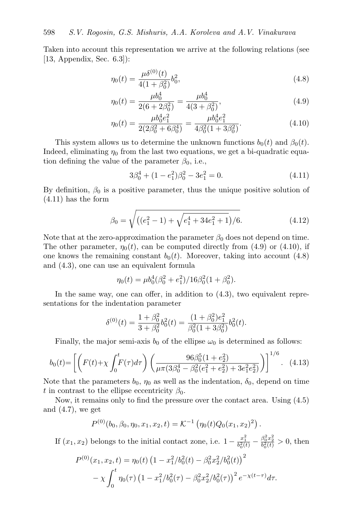Taken into account this representation we arrive at the following relations (see [\[13,](#page-22-8) Appendix, Sec. 6.3]):

<span id="page-13-3"></span>
$$
\eta_0(t) = \frac{\mu \delta^{(0)}(t)}{4(1 + \beta_0^2)} b_0^2,
$$
\n(4.8)

$$
\eta_0(t) = \frac{\mu b_0^4}{2(6+2\beta_0^2)} = \frac{\mu b_0^4}{4(3+\beta_0^2)},\tag{4.9}
$$

$$
\eta_0(t) = \frac{\mu b_0^4 e_1^2}{2(2\beta_0^2 + 6\beta_0^4)} = \frac{\mu b_0^4 e_1^2}{4\beta_0^2 (1 + 3\beta_0^2)}.
$$
\n(4.10)

This system allows us to determine the unknown functions  $b_0(t)$  and  $\beta_0(t)$ . Indeed, eliminating  $\eta_0$  from the last two equations, we get a bi-quadratic equation defining the value of the parameter  $\beta_0$ , i.e.,

<span id="page-13-2"></span><span id="page-13-1"></span><span id="page-13-0"></span>
$$
3\beta_0^4 + (1 - e_1^2)\beta_0^2 - 3e_1^2 = 0.
$$
\n(4.11)

By definition,  $\beta_0$  is a positive parameter, thus the unique positive solution of [\(4.11\)](#page-13-0) has the form

$$
\beta_0 = \sqrt{\left( (e_1^2 - 1) + \sqrt{e_1^4 + 34e_1^2 + 1} \right)/6}.
$$
\n(4.12)

Note that at the zero-approximation the parameter  $\beta_0$  does not depend on time. The other parameter,  $\eta_0(t)$ , can be computed directly from [\(4.9\)](#page-13-1) or [\(4.10\)](#page-13-2), if one knows the remaining constant  $b_0(t)$ . Moreover, taking into account [\(4.8\)](#page-13-3) and [\(4.3\)](#page-11-3), one can use an equivalent formula

<span id="page-13-4"></span>
$$
\eta_0(t) = \mu b_0^4 (\beta_0^2 + e_1^2) / 16 \beta_0^2 (1 + \beta_0^2).
$$

In the same way, one can offer, in addition to [\(4.3\)](#page-11-3), two equivalent representations for the indentation parameter

$$
\delta^{(0)}(t) = \frac{1 + \beta_0^2}{3 + \beta_0^2} b_0^2(t) = \frac{(1 + \beta_0^2)e_1^2}{\beta_0^2(1 + 3\beta_0^2)} b_0^2(t).
$$

Finally, the major semi-axis  $b_0$  of the ellipse  $\omega_0$  is determined as follows:

$$
b_0(t) = \left[ \left( F(t) + \chi \int_0^t F(\tau) d\tau \right) \left( \frac{96\beta_0^5 (1 + e_2^2)}{\mu \pi (3\beta_0^4 - \beta_0^2 (e_1^2 + e_2^2) + 3e_1^2 e_2^2)} \right) \right]^{1/6}.
$$
 (4.13)

Note that the parameters  $b_0$ ,  $\eta_0$  as well as the indentation,  $\delta_0$ , depend on time t in contrast to the ellipse eccentricity  $\beta_0$ .

Now, it remains only to find the pressure over the contact area. Using [\(4.5\)](#page-12-0) and  $(4.7)$ , we get

$$
P^{(0)}(b_0, \beta_0, \eta_0, x_1, x_2, t) = \mathcal{K}^{-1}(\eta_0(t)Q_0(x_1, x_2)^2).
$$

If  $(x_1, x_2)$  belongs to the initial contact zone, i.e.  $1 - \frac{x_1^2}{b_0^2(t)} - \frac{\beta_0^2 x_2^2}{b_0^2(t)} > 0$ , then

$$
P^{(0)}(x_1, x_2, t) = \eta_0(t) \left(1 - x_1^2/b_0^2(t) - \beta_0^2 x_2^2/b_0^2(t)\right)^2
$$

$$
- \chi \int_0^t \eta_0(\tau) \left(1 - x_1^2/b_0^2(\tau) - \beta_0^2 x_2^2/b_0^2(\tau)\right)^2 e^{-\chi(t-\tau)} d\tau.
$$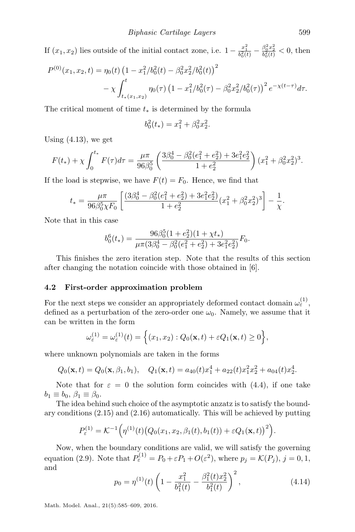If  $(x_1, x_2)$  lies outside of the initial contact zone, i.e.  $1 - \frac{x_1^2}{b_0^2(t)} - \frac{\beta_0^2 x_2^2}{b_0^2(t)} < 0$ , then

$$
P^{(0)}(x_1, x_2, t) = \eta_0(t) \left(1 - x_1^2/b_0^2(t) - \beta_0^2 x_2^2/b_0^2(t)\right)^2
$$
  
-  $\chi \int_{t_*(x_1, x_2)}^t \eta_0(\tau) \left(1 - x_1^2/b_0^2(\tau) - \beta_0^2 x_2^2/b_0^2(\tau)\right)^2 e^{-\chi(t-\tau)} d\tau.$ 

The critical moment of time  $t_*$  is determined by the formula

$$
b_0^2(t_*) = x_1^2 + \beta_0^2 x_2^2.
$$

Using [\(4.13\)](#page-13-4), we get

$$
F(t_{*}) + \chi \int_{0}^{t_{*}} F(\tau) d\tau = \frac{\mu \pi}{96 \beta_{0}^{5}} \left( \frac{3\beta_{0}^{4} - \beta_{0}^{2}(e_{1}^{2} + e_{2}^{2}) + 3e_{1}^{2}e_{2}^{2}}{1 + e_{2}^{2}} \right) (x_{1}^{2} + \beta_{0}^{2}x_{2}^{2})^{3}.
$$

If the load is stepwise, we have  $F(t) = F_0$ . Hence, we find that

$$
t_* = \frac{\mu \pi}{96\beta_0^5 \chi F_0} \left[ \frac{(3\beta_0^4 - \beta_0^2(e_1^2 + e_2^2) + 3e_1^2 e_2^2)}{1 + e_2^2} (x_1^2 + \beta_0^2 x_2^2)^3 \right] - \frac{1}{\chi}.
$$

Note that in this case

$$
b_0^6(t_*) = \frac{96\beta_0^5(1 + e_2^2)(1 + \chi t_*)}{\mu \pi (3\beta_0^4 - \beta_0^2(e_1^2 + e_2^2) + 3e_1^2e_2^2)}F_0.
$$

This finishes the zero iteration step. Note that the results of this section after changing the notation coincide with those obtained in [\[6\]](#page-22-6).

### <span id="page-14-0"></span>4.2 First-order approximation problem

For the next steps we consider an appropriately deformed contact domain  $\omega_{\varepsilon}^{(1)}$ , defined as a perturbation of the zero-order one  $\omega_0$ . Namely, we assume that it can be written in the form

$$
\omega_{\varepsilon}^{(1)} = \omega_{\varepsilon}^{(1)}(t) = \left\{ (x_1, x_2) : Q_0(\mathbf{x}, t) + \varepsilon Q_1(\mathbf{x}, t) \ge 0 \right\},\,
$$

where unknown polynomials are taken in the forms

$$
Q_0(\mathbf{x},t) = Q_0(\mathbf{x},\beta_1,b_1), \quad Q_1(\mathbf{x},t) = a_{40}(t)x_1^4 + a_{22}(t)x_1^2x_2^2 + a_{04}(t)x_2^4.
$$

Note that for  $\varepsilon = 0$  the solution form coincides with [\(4.4\)](#page-11-4), if one take  $b_1 \equiv b_0, \ \beta_1 \equiv \beta_0.$ 

The idea behind such choice of the asymptotic anzatz is to satisfy the boundary conditions [\(2.15\)](#page-5-2) and [\(2.16\)](#page-5-3) automatically. This will be achieved by putting

$$
P_{\varepsilon}^{(1)} = \mathcal{K}^{-1}(\eta^{(1)}(t) (Q_0(x_1, x_2, \beta_1(t), b_1(t)) + \varepsilon Q_1(\mathbf{x}, t))^2).
$$

<span id="page-14-1"></span>Now, when the boundary conditions are valid, we will satisfy the governing equation [\(2.9\)](#page-4-4). Note that  $P_{\varepsilon}^{(1)} = P_0 + \varepsilon P_1 + O(\varepsilon^2)$ , where  $p_j = \mathcal{K}(P_j)$ ,  $j = 0, 1$ , and

$$
p_0 = \eta^{(1)}(t) \left( 1 - \frac{x_1^2}{b_1^2(t)} - \frac{\beta_1^2(t)x_2^2}{b_1^2(t)} \right)^2, \tag{4.14}
$$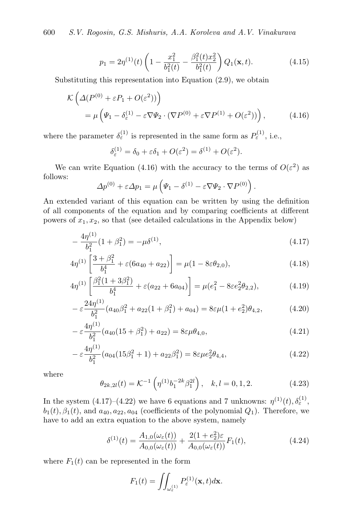<span id="page-15-7"></span>600 S.V. Rogosin, G.S. Mishuris, A.A. Koroleva and A.V. Vinakurava

$$
p_1 = 2\eta^{(1)}(t)\left(1 - \frac{x_1^2}{b_1^2(t)} - \frac{\beta_1^2(t)x_2^2}{b_1^2(t)}\right)Q_1(\mathbf{x}, t).
$$
 (4.15)

Substituting this representation into Equation [\(2.9\)](#page-4-4), we obtain

$$
\mathcal{K}\left(\Delta(P^{(0)} + \varepsilon P_1 + O(\varepsilon^2))\right)
$$
  
=  $\mu \left(\Psi_1 - \delta_{\varepsilon}^{(1)} - \varepsilon \nabla \Psi_2 \cdot (\nabla P^{(0)} + \varepsilon \nabla P^{(1)} + O(\varepsilon^2))\right),$  (4.16)

where the parameter  $\delta_{\varepsilon}^{(1)}$  is represented in the same form as  $P_{\varepsilon}^{(1)}$ , i.e.,

<span id="page-15-1"></span><span id="page-15-0"></span>
$$
\delta_{\varepsilon}^{(1)} = \delta_0 + \varepsilon \delta_1 + O(\varepsilon^2) = \delta^{(1)} + O(\varepsilon^2).
$$

We can write Equation [\(4.16\)](#page-15-0) with the accuracy to the terms of  $O(\varepsilon^2)$  as follows:

$$
\Delta p^{(0)} + \varepsilon \Delta p_1 = \mu \left( \Psi_1 - \delta^{(1)} - \varepsilon \nabla \Psi_2 \cdot \nabla P^{(0)} \right).
$$

An extended variant of this equation can be written by using the definition of all components of the equation and by comparing coefficients at different powers of  $x_1, x_2$ , so that (see detailed calculations in the Appendix below)

$$
-\frac{4\eta^{(1)}}{b_1^2}(1+\beta_1^2) = -\mu\delta^{(1)},\tag{4.17}
$$

$$
4\eta^{(1)}\left[\frac{3+\beta_1^2}{b_1^4} + \varepsilon(6a_{40} + a_{22})\right] = \mu(1 - 8\varepsilon\theta_{2,0}),\tag{4.18}
$$

$$
4\eta^{(1)}\left[\frac{\beta_1^2(1+3\beta_1^2)}{b_1^4} + \varepsilon(a_{22} + 6a_{04})\right] = \mu(e_1^2 - 8\varepsilon e_2^2 \theta_{2,2}),\tag{4.19}
$$

$$
-\varepsilon \frac{24\eta^{(1)}}{b_1^2}(a_{40}\beta_1^2 + a_{22}(1+\beta_1^2) + a_{04}) = 8\varepsilon\mu(1+\varepsilon_2^2)\theta_{4,2},\tag{4.20}
$$

$$
-\varepsilon \frac{4\eta^{(1)}}{b_1^2}(a_{40}(15+\beta_1^2)+a_{22})=8\varepsilon\mu\theta_{4,0},\tag{4.21}
$$

$$
-\varepsilon \frac{4\eta^{(1)}}{b_1^2}(a_{04}(15\beta_1^2+1)+a_{22}\beta_1^2)=8\varepsilon\mu e_2^2\theta_{4,4},\qquad(4.22)
$$

<span id="page-15-5"></span>where

<span id="page-15-6"></span><span id="page-15-4"></span><span id="page-15-2"></span>
$$
\theta_{2k,2l}(t) = \mathcal{K}^{-1}\left(\eta^{(1)}b_1^{-2k}\beta_1^{2l}\right), \quad k, l = 0, 1, 2. \tag{4.23}
$$

In the system [\(4.17\)](#page-15-1)–[\(4.22\)](#page-15-2) we have 6 equations and 7 unknowns:  $\eta^{(1)}(t), \delta_{\varepsilon}^{(1)},$  $b_1(t), \beta_1(t)$ , and  $a_{40}, a_{22}, a_{04}$  (coefficients of the polynomial  $Q_1$ ). Therefore, we have to add an extra equation to the above system, namely

$$
\delta^{(1)}(t) = \frac{A_{1,0}(\omega_{\varepsilon}(t))}{A_{0,0}(\omega_{\varepsilon}(t))} + \frac{2(1 + e_2^2)\varepsilon}{A_{0,0}(\omega_{\varepsilon}(t))} F_1(t), \tag{4.24}
$$

where  $F_1(t)$  can be represented in the form

<span id="page-15-3"></span>
$$
F_1(t) = \iint_{\omega_{\varepsilon}^{(1)}} P_{\varepsilon}^{(1)}(\mathbf{x}, t) d\mathbf{x}.
$$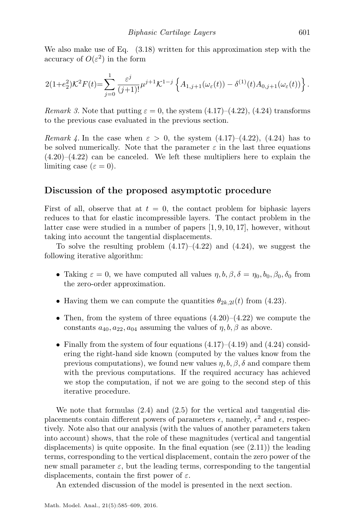We also make use of Eq.  $(3.18)$  written for this approximation step with the accuracy of  $O(\varepsilon^2)$  in the form

$$
2(1+e_2^2)\mathcal{K}^2F(t) = \sum_{j=0}^1 \frac{\varepsilon^j}{(j+1)!} \mu^{j+1}\mathcal{K}^{1-j} \left\{ A_{1,j+1}(\omega_\varepsilon(t)) - \delta^{(1)}(t)A_{0,j+1}(\omega_\varepsilon(t)) \right\}.
$$

Remark 3. Note that putting  $\varepsilon = 0$ , the system  $(4.17)$ – $(4.22)$ ,  $(4.24)$  transforms to the previous case evaluated in the previous section.

Remark 4. In the case when  $\varepsilon > 0$ , the system  $(4.17)$ – $(4.22)$ ,  $(4.24)$  has to be solved numerically. Note that the parameter  $\varepsilon$  in the last three equations  $(4.20)$ – $(4.22)$  can be canceled. We left these multipliers here to explain the limiting case  $(\varepsilon = 0)$ .

# Discussion of the proposed asymptotic procedure

First of all, observe that at  $t = 0$ , the contact problem for biphasic layers reduces to that for elastic incompressible layers. The contact problem in the latter case were studied in a number of papers [\[1,](#page-21-4) [9,](#page-22-9) [10,](#page-22-10) [17\]](#page-22-11), however, without taking into account the tangential displacements.

To solve the resulting problem  $(4.17)$ – $(4.22)$  and  $(4.24)$ , we suggest the following iterative algorithm:

- Taking  $\varepsilon = 0$ , we have computed all values  $\eta, b, \beta, \delta = \eta_0, b_0, \beta_0, \delta_0$  from the zero-order approximation.
- Having them we can compute the quantities  $\theta_{2k,2l}(t)$  from [\(4.23\)](#page-15-5).
- Then, from the system of three equations  $(4.20)$ – $(4.22)$  we compute the constants  $a_{40}, a_{22}, a_{04}$  assuming the values of  $\eta, b, \beta$  as above.
- Finally from the system of four equations  $(4.17)$ – $(4.19)$  and  $(4.24)$  considering the right-hand side known (computed by the values know from the previous computations), we found new values  $\eta, b, \beta, \delta$  and compare them with the previous computations. If the required accuracy has achieved we stop the computation, if not we are going to the second step of this iterative procedure.

We note that formulas  $(2.4)$  and  $(2.5)$  for the vertical and tangential displacements contain different powers of parameters  $\epsilon$ , namely,  $\epsilon^2$  and  $\epsilon$ , respectively. Note also that our analysis (with the values of another parameters taken into account) shows, that the role of these magnitudes (vertical and tangential displacements) is quite opposite. In the final equation (see [\(2.11\)](#page-5-1)) the leading terms, corresponding to the vertical displacement, contain the zero power of the new small parameter  $\varepsilon$ , but the leading terms, corresponding to the tangential displacements, contain the first power of  $\varepsilon$ .

An extended discussion of the model is presented in the next section.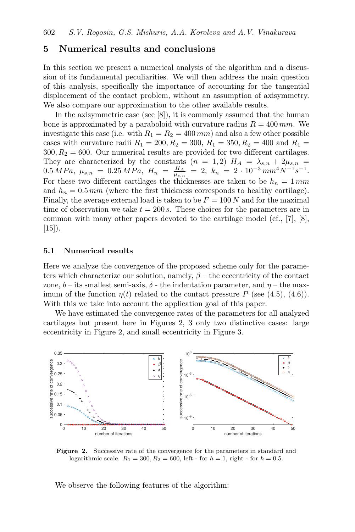# <span id="page-17-0"></span>5 Numerical results and conclusions

In this section we present a numerical analysis of the algorithm and a discussion of its fundamental peculiarities. We will then address the main question of this analysis, specifically the importance of accounting for the tangential displacement of the contact problem, without an assumption of axisymmetry. We also compare our approximation to the other available results.

In the axisymmetric case (see [\[8\]](#page-22-2)), it is commonly assumed that the human bone is approximated by a paraboloid with curvature radius  $R = 400$  mm. We investigate this case (i.e. with  $R_1 = R_2 = 400 \, mm$ ) and also a few other possible cases with curvature radii  $R_1 = 200, R_2 = 300, R_1 = 350, R_2 = 400$  and  $R_1 =$  $300, R_2 = 600$ . Our numerical results are provided for two different cartilages. They are characterized by the constants  $(n = 1, 2)$   $H_A = \lambda_{s,n} + 2\mu_{s,n}$  $0.5 MPa, \; \mu_{s,n} \; = \; 0.25 MPa, \; H_n \; = \; \frac{H_A}{\mu_{s,n}} \; = \; 2, \; k_n \; = \; 2 \cdot 10^{-3} \, mm^4 N^{-1} s^{-1}.$ For these two different cartilages the thicknesses are taken to be  $h_n = 1 \, mm$ and  $h_n = 0.5 \, mm$  (where the first thickness corresponds to healthy cartilage). Finally, the average external load is taken to be  $F = 100 N$  and for the maximal time of observation we take  $t = 200 s$ . These choices for the parameters are in common with many other papers devoted to the cartilage model (cf., [\[7\]](#page-22-7), [\[8\]](#page-22-2),  $[15]$ ).

#### 5.1 Numerical results

Here we analyze the convergence of the proposed scheme only for the parameters which characterize our solution, namely,  $\beta$  – the eccentricity of the contact zone, b – its smallest semi-axis,  $\delta$  - the indentation parameter, and  $\eta$  – the maximum of the function  $\eta(t)$  related to the contact pressure P (see [\(4.5\)](#page-12-0), [\(4.6\)](#page-12-2)). With this we take into account the application goal of this paper.

We have estimated the convergence rates of the parameters for all analyzed cartilages but present here in Figures [2,](#page-17-1) [3](#page-18-0) only two distinctive cases: large eccentricity in Figure [2,](#page-17-1) and small eccentricity in Figure [3.](#page-18-0)

<span id="page-17-1"></span>

Figure 2. Successive rate of the convergence for the parameters in standard and logarithmic scale.  $R_1 = 300, R_2 = 600$ , left - for  $h = 1$ , right - for  $h = 0.5$ .

We observe the following features of the algorithm: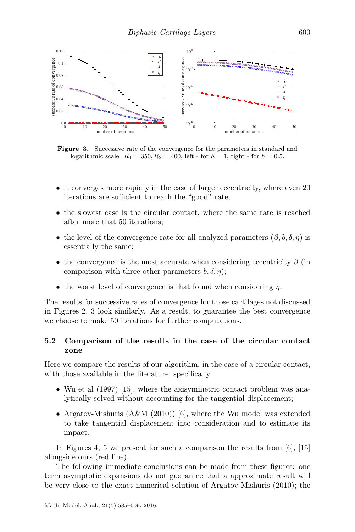<span id="page-18-0"></span>

Figure 3. Successive rate of the convergence for the parameters in standard and logarithmic scale.  $R_1 = 350, R_2 = 400$ , left - for  $h = 1$ , right - for  $h = 0.5$ .

- it converges more rapidly in the case of larger eccentricity, where even 20 iterations are sufficient to reach the "good" rate;
- the slowest case is the circular contact, where the same rate is reached after more that 50 iterations;
- the level of the convergence rate for all analyzed parameters  $(\beta, b, \delta, \eta)$  is essentially the same;
- the convergence is the most accurate when considering eccentricity  $\beta$  (in comparison with three other parameters  $b, \delta, \eta$ ;
- the worst level of convergence is that found when considering  $\eta$ .

The results for successive rates of convergence for those cartilages not discussed in Figures [2,](#page-17-1) [3](#page-18-0) look similarly. As a result, to guarantee the best convergence we choose to make 50 iterations for further computations.

### 5.2 Comparison of the results in the case of the circular contact zone

Here we compare the results of our algorithm, in the case of a circular contact, with those available in the literature, specifically

- Wu et al (1997) [\[15\]](#page-22-5), where the axisymmetric contact problem was analytically solved without accounting for the tangential displacement;
- Argatov-Mishuris  $(A\&M(2010))$  [\[6\]](#page-22-6), where the Wu model was extended to take tangential displacement into consideration and to estimate its impact.

In Figures [4,](#page-19-0) [5](#page-19-1) we present for such a comparison the results from  $[6]$ ,  $[15]$ alongside ours (red line).

The following immediate conclusions can be made from these figures: one term asymptotic expansions do not guarantee that a approximate result will be very close to the exact numerical solution of Argatov-Mishuris (2010); the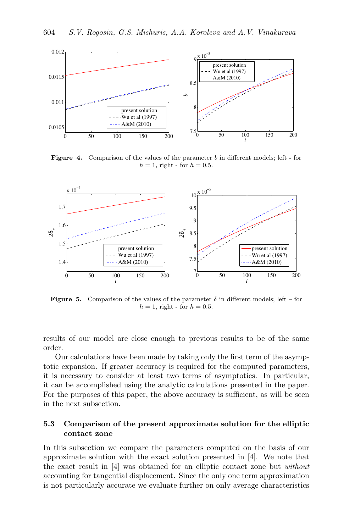<span id="page-19-0"></span>

Figure 4. Comparison of the values of the parameter b in different models; left - for  $h = 1$ , right - for  $h = 0.5$ .

<span id="page-19-1"></span>

**Figure 5.** Comparison of the values of the parameter  $\delta$  in different models; left – for  $h = 1$ , right - for  $h = 0.5$ .

results of our model are close enough to previous results to be of the same order.

Our calculations have been made by taking only the first term of the asymptotic expansion. If greater accuracy is required for the computed parameters, it is necessary to consider at least two terms of asymptotics. In particular, it can be accomplished using the analytic calculations presented in the paper. For the purposes of this paper, the above accuracy is sufficient, as will be seen in the next subsection.

# 5.3 Comparison of the present approximate solution for the elliptic contact zone

In this subsection we compare the parameters computed on the basis of our approximate solution with the exact solution presented in [\[4\]](#page-21-2). We note that the exact result in [\[4\]](#page-21-2) was obtained for an elliptic contact zone but without accounting for tangential displacement. Since the only one term approximation is not particularly accurate we evaluate further on only average characteristics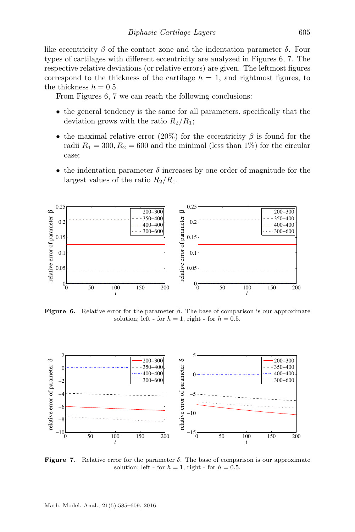like eccentricity  $\beta$  of the contact zone and the indentation parameter  $\delta$ . Four types of cartilages with different eccentricity are analyzed in Figures [6,](#page-20-0) [7.](#page-20-1) The respective relative deviations (or relative errors) are given. The leftmost figures correspond to the thickness of the cartilage  $h = 1$ , and rightmost figures, to the thickness  $h = 0.5$ .

From Figures [6,](#page-20-0) [7](#page-20-1) we can reach the following conclusions:

- the general tendency is the same for all parameters, specifically that the deviation grows with the ratio  $R_2/R_1$ ;
- the maximal relative error (20%) for the eccentricity  $\beta$  is found for the radii  $R_1 = 300, R_2 = 600$  and the minimal (less than 1%) for the circular case;
- the indentation parameter  $\delta$  increases by one order of magnitude for the largest values of the ratio  $R_2/R_1$ .

<span id="page-20-0"></span>

**Figure 6.** Relative error for the parameter  $\beta$ . The base of comparison is our approximate solution; left - for  $h = 1$ , right - for  $h = 0.5$ .

<span id="page-20-1"></span>

**Figure 7.** Relative error for the parameter  $\delta$ . The base of comparison is our approximate solution; left - for  $h = 1$ , right - for  $h = 0.5$ .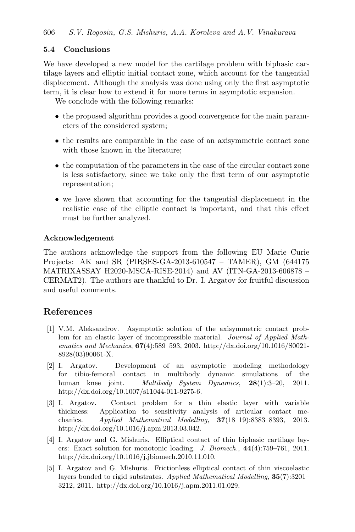# 5.4 Conclusions

We have developed a new model for the cartilage problem with biphasic cartilage layers and elliptic initial contact zone, which account for the tangential displacement. Although the analysis was done using only the first asymptotic term, it is clear how to extend it for more terms in asymptotic expansion.

We conclude with the following remarks:

- the proposed algorithm provides a good convergence for the main parameters of the considered system;
- the results are comparable in the case of an axisymmetric contact zone with those known in the literature;
- the computation of the parameters in the case of the circular contact zone is less satisfactory, since we take only the first term of our asymptotic representation;
- we have shown that accounting for the tangential displacement in the realistic case of the elliptic contact is important, and that this effect must be further analyzed.

### Acknowledgement

The authors acknowledge the support from the following EU Marie Curie Projects: AK and SR (PIRSES-GA-2013-610547 – TAMER), GM (644175 MATRIXASSAY H2020-MSCA-RISE-2014) and AV (ITN-GA-2013-606878 – CERMAT2). The authors are thankful to Dr. I. Argatov for fruitful discussion and useful comments.

# References

- <span id="page-21-4"></span>[1] V.M. Aleksandrov. Asymptotic solution of the axisymmetric contact problem for an elastic layer of incompressible material. Journal of Applied Mathematics and Mechanics, 67(4):589–593, 2003. [http://dx.doi.org/10.1016/S0021-](http://dx.doi.org/10.1016/S0021-8928(03)90061-X) [8928\(03\)90061-X.](http://dx.doi.org/10.1016/S0021-8928(03)90061-X)
- <span id="page-21-0"></span>[2] I. Argatov. Development of an asymptotic modeling methodology for tibio-femoral contact in multibody dynamic simulations of the human knee joint. Multibody System Dynamics, 28(1):3-20, 2011. [http://dx.doi.org/10.1007/s11044-011-9275-6.](http://dx.doi.org/10.1007/s11044-011-9275-6)
- <span id="page-21-1"></span>[3] I. Argatov. Contact problem for a thin elastic layer with variable thickness: Application to sensitivity analysis of articular contact mechanics. Applied Mathematical Modelling, 37(18–19):8383–8393, 2013. [http://dx.doi.org/10.1016/j.apm.2013.03.042.](http://dx.doi.org/10.1016/j.apm.2013.03.042)
- <span id="page-21-2"></span>[4] I. Argatov and G. Mishuris. Elliptical contact of thin biphasic cartilage layers: Exact solution for monotonic loading. J. Biomech., 44(4):759–761, 2011. [http://dx.doi.org/10.1016/j.jbiomech.2010.11.010.](http://dx.doi.org/10.1016/j.jbiomech.2010.11.010)
- <span id="page-21-3"></span>[5] I. Argatov and G. Mishuris. Frictionless elliptical contact of thin viscoelastic layers bonded to rigid substrates. Applied Mathematical Modelling, 35(7):3201– 3212, 2011. [http://dx.doi.org/10.1016/j.apm.2011.01.029.](http://dx.doi.org/10.1016/j.apm.2011.01.029)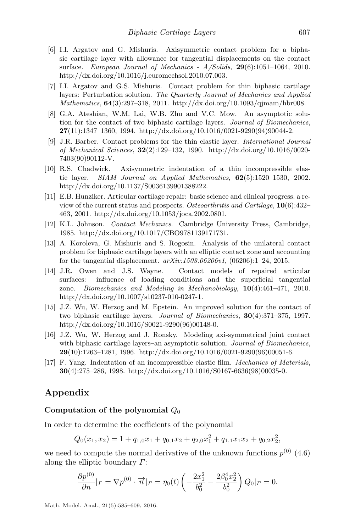- <span id="page-22-6"></span>[6] I.I. Argatov and G. Mishuris. Axisymmetric contact problem for a biphasic cartilage layer with allowance for tangential displacements on the contact surface. European Journal of Mechanics -  $A/Solids$ ,  $29(6):1051-1064$ , 2010. [http://dx.doi.org/10.1016/j.euromechsol.2010.07.003.](http://dx.doi.org/10.1016/j.euromechsol.2010.07.003)
- <span id="page-22-7"></span>[7] I.I. Argatov and G.S. Mishuris. Contact problem for thin biphasic cartilage layers: Perturbation solution. The Quarterly Journal of Mechanics and Applied Mathematics, 64(3):297–318, 2011. [http://dx.doi.org/10.1093/qjmam/hbr008.](http://dx.doi.org/10.1093/qjmam/hbr008)
- <span id="page-22-2"></span>[8] G.A. Ateshian, W.M. Lai, W.B. Zhu and V.C. Mow. An asymptotic solution for the contact of two biphasic cartilage layers. Journal of Biomechanics,  $27(11):1347-1360$ , 1994. [http://dx.doi.org/10.1016/0021-9290\(94\)90044-2.](http://dx.doi.org/10.1016/0021-9290(94)90044-2)
- <span id="page-22-9"></span>[9] J.R. Barber. Contact problems for the thin elastic layer. International Journal of Mechanical Sciences, 32(2):129–132, 1990. [http://dx.doi.org/10.1016/0020-](http://dx.doi.org/10.1016/0020-7403(90)90112-V) [7403\(90\)90112-V.](http://dx.doi.org/10.1016/0020-7403(90)90112-V)
- <span id="page-22-10"></span>[10] R.S. Chadwick. Axisymmetric indentation of a thin incompressible elastic layer. SIAM Journal on Applied Mathematics, 62(5):1520–1530, 2002. [http://dx.doi.org/10.1137/S0036139901388222.](http://dx.doi.org/10.1137/S0036139901388222)
- <span id="page-22-0"></span>[11] E.B. Hunziker. Articular cartilage repair: basic science and clinical progress. a review of the current status and prospects. Osteoarthritis and Cartilage, 10(6):432– 463, 2001. [http://dx.doi.org/10.1053/joca.2002.0801.](http://dx.doi.org/10.1053/joca.2002.0801)
- <span id="page-22-4"></span>[12] K.L. Johnson. Contact Mechanics. Cambridge University Press, Cambridge, 1985. [http://dx.doi.org/10.1017/CBO9781139171731.](http://dx.doi.org/10.1017/CBO9781139171731)
- <span id="page-22-8"></span>[13] A. Koroleva, G. Mishuris and S. Rogosin. Analysis of the unilateral contact problem for biphasic cartilage layers with an elliptic contact zone and accounting for the tangential displacement.  $arXiv:1503.06206v1$ ,  $(06206):1-24, 2015$ .
- <span id="page-22-1"></span>[14] J.R. Owen and J.S. Wayne. Contact models of repaired articular surfaces: influence of loading conditions and the superficial tangential zone. Biomechanics and Modeling in Mechanobiology, 10(4):461–471, 2010. [http://dx.doi.org/10.1007/s10237-010-0247-1.](http://dx.doi.org/10.1007/s10237-010-0247-1)
- <span id="page-22-5"></span>[15] J.Z. Wu, W. Herzog and M. Epstein. An improved solution for the contact of two biphasic cartilage layers. Journal of Biomechanics, 30(4):371–375, 1997. [http://dx.doi.org/10.1016/S0021-9290\(96\)00148-0.](http://dx.doi.org/10.1016/S0021-9290(96)00148-0)
- <span id="page-22-3"></span>[16] J.Z. Wu, W. Herzog and J. Ronsky. Modeling axi-symmetrical joint contact with biphasic cartilage layers–an asymptotic solution. Journal of Biomechanics, **29**(10):1263–1281, 1996. [http://dx.doi.org/10.1016/0021-9290\(96\)00051-6.](http://dx.doi.org/10.1016/0021-9290(96)00051-6)
- <span id="page-22-11"></span>[17] F. Yang. Indentation of an incompressible elastic film. Mechanics of Materials, 30(4):275–286, 1998. [http://dx.doi.org/10.1016/S0167-6636\(98\)00035-0.](http://dx.doi.org/10.1016/S0167-6636(98)00035-0)

# Appendix

### Computation of the polynomial  $Q_0$

In order to determine the coefficients of the polynomial

$$
Q_0(x_1, x_2) = 1 + q_{1,0}x_1 + q_{0,1}x_2 + q_{2,0}x_1^2 + q_{1,1}x_1x_2 + q_{0,2}x_2^2,
$$

we need to compute the normal derivative of the unknown functions  $p^{(0)}$  [\(4.6\)](#page-12-2) along the elliptic boundary  $\Gamma$ :

$$
\frac{\partial p^{(0)}}{\partial n}|_{\Gamma} = \nabla p^{(0)} \cdot \overrightarrow{n}|_{\Gamma} = \eta_0(t) \left( -\frac{2x_1^2}{b_0^2} - \frac{2\beta_0^4 x_2^2}{b_0^2} \right) Q_0|_{\Gamma} = 0.
$$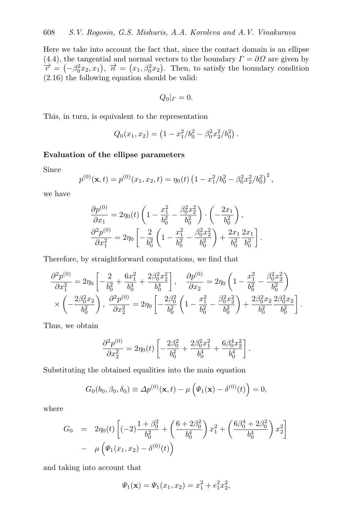Here we take into account the fact that, since the contact domain is an ellipse [\(4.4\)](#page-11-4), the tangential and normal vectors to the boundary  $\Gamma = \partial\Omega$  are given by  $\vec{r} = (-\beta_0^2 x_2, x_1), \ \vec{n} = (x_1, \beta_0^2 x_2).$  Then, to satisfy the boundary condition [\(2.16\)](#page-5-3) the following equation should be valid:

$$
Q_0|_{\Gamma}=0.
$$

This, in turn, is equivalent to the representation

$$
Q_0(x_1,x_2) = \left(1 - x_1^2/b_0^2 - \beta_0^2 x_2^2/b_0^2\right).
$$

### Evaluation of the ellipse parameters

Since

$$
p^{(0)}(\mathbf{x},t) = p^{(0)}(x_1,x_2,t) = \eta_0(t) \left(1 - x_1^2/b_0^2 - \beta_0^2 x_2^2/b_0^2\right)^2,
$$

we have

$$
\frac{\partial p^{(0)}}{\partial x_1} = 2\eta_0(t) \left( 1 - \frac{x_1^2}{b_0^2} - \frac{\beta_0^2 x_2^2}{b_0^2} \right) \cdot \left( -\frac{2x_1}{b_0^2} \right),
$$
  

$$
\frac{\partial^2 p^{(0)}}{\partial x_1^2} = 2\eta_0 \left[ -\frac{2}{b_0^2} \left( 1 - \frac{x_1^2}{b_0^2} - \frac{\beta_0^2 x_2^2}{b_0^2} \right) + \frac{2x_1}{b_0^2} \frac{2x_1}{b_0^2} \right].
$$

Therefore, by straightforward computations, we find that

$$
\frac{\partial^2 p^{(0)}}{\partial x_1^2} = 2\eta_0 \left[ -\frac{2}{b_0^2} + \frac{6x_1^2}{b_0^4} + \frac{2\beta_0^2 x_2^2}{b_0^4} \right], \quad \frac{\partial p^{(0)}}{\partial x_2} = 2\eta_0 \left( 1 - \frac{x_1^2}{b_0^2} - \frac{\beta_0^2 x_2^2}{b_0^2} \right)
$$

$$
\times \left( -\frac{2\beta_0^2 x_2}{b_0^2} \right), \quad \frac{\partial^2 p^{(0)}}{\partial x_2^2} = 2\eta_0 \left[ -\frac{2\beta_0^2}{b_0^2} \left( 1 - \frac{x_1^2}{b_0^2} - \frac{\beta_0^2 x_2^2}{b_0^2} \right) + \frac{2\beta_0^2 x_2}{b_0^2} \frac{2\beta_0^2 x_2}{b_0^2} \right].
$$

Thus, we obtain

$$
\frac{\partial^2 p^{(0)}}{\partial x_2^2} = 2\eta_0(t) \left[ -\frac{2\beta_0^2}{b_0^2} + \frac{2\beta_0^2 x_1^2}{b_0^4} + \frac{6\beta_0^4 x_2^2}{b_0^4} \right].
$$

Substituting the obtained equalities into the main equation

$$
G_0(b_0, \beta_0, \delta_0) \equiv \Delta p^{(0)}(\mathbf{x}, t) - \mu \left( \Psi_1(\mathbf{x}) - \delta^{(0)}(t) \right) = 0,
$$

where

$$
G_0 = 2\eta_0(t) \left[ (-2) \frac{1+\beta_0^2}{b_0^2} + \left( \frac{6+2\beta_0^2}{b_0^4} \right) x_1^2 + \left( \frac{6\beta_0^4 + 2\beta_0^2}{b_0^4} \right) x_2^2 \right] - \mu \left( \Psi_1(x_1, x_2) - \delta^{(0)}(t) \right)
$$

and taking into account that

$$
\Psi_1(\mathbf{x}) = \Psi_1(x_1, x_2) = x_1^2 + e_1^2 x_2^2,
$$